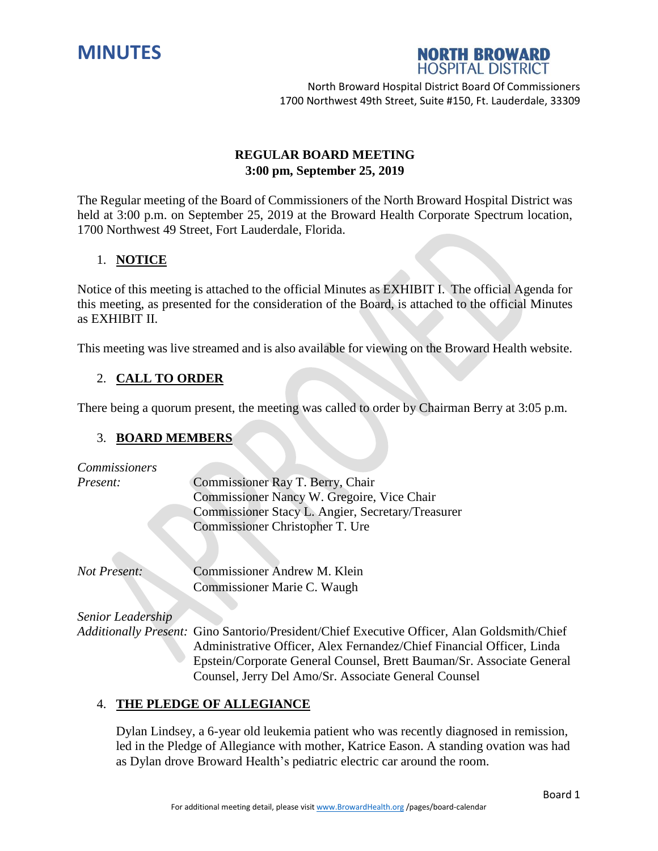



# **REGULAR BOARD MEETING 3:00 pm, September 25, 2019**

The Regular meeting of the Board of Commissioners of the North Broward Hospital District was held at 3:00 p.m. on September 25, 2019 at the Broward Health Corporate Spectrum location, 1700 Northwest 49 Street, Fort Lauderdale, Florida.

# 1. **NOTICE**

Notice of this meeting is attached to the official Minutes as EXHIBIT I. The official Agenda for this meeting, as presented for the consideration of the Board, is attached to the official Minutes as EXHIBIT II.

This meeting was live streamed and is also available for viewing on the Broward Health website.

# 2. **CALL TO ORDER**

There being a quorum present, the meeting was called to order by Chairman Berry at 3:05 p.m.

### 3. **BOARD MEMBERS**

| Commissioners     |                                                                                   |
|-------------------|-----------------------------------------------------------------------------------|
| Present:          | Commissioner Ray T. Berry, Chair                                                  |
|                   | Commissioner Nancy W. Gregoire, Vice Chair                                        |
|                   | Commissioner Stacy L. Angier, Secretary/Treasurer                                 |
|                   | Commissioner Christopher T. Ure                                                   |
|                   |                                                                                   |
| Not Present:      | Commissioner Andrew M. Klein                                                      |
|                   | Commissioner Marie C. Waugh                                                       |
|                   |                                                                                   |
| Senior Leadership |                                                                                   |
|                   | Additionally Present: Gino Santorio/President/Chief Executive Officer, Alan Gold: |

*Additionally Present:* Gino Santorio/President/Chief Executive Officer, Alan Goldsmith/Chief Administrative Officer, Alex Fernandez/Chief Financial Officer, Linda Epstein/Corporate General Counsel, Brett Bauman/Sr. Associate General Counsel, Jerry Del Amo/Sr. Associate General Counsel

### 4. **THE PLEDGE OF ALLEGIANCE**

Dylan Lindsey, a 6-year old leukemia patient who was recently diagnosed in remission, led in the Pledge of Allegiance with mother, Katrice Eason. A standing ovation was had as Dylan drove Broward Health's pediatric electric car around the room.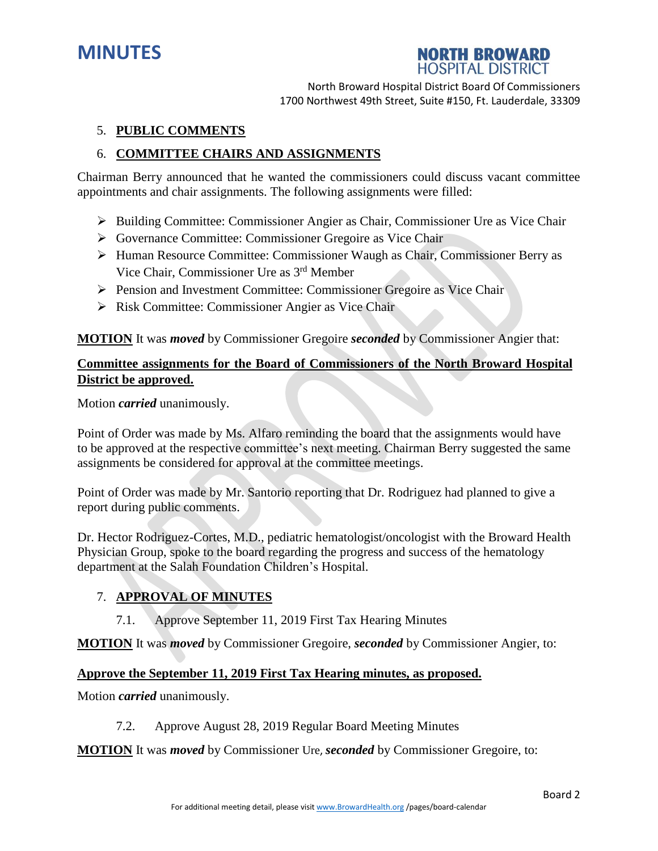



# 5. **PUBLIC COMMENTS**

# 6. **COMMITTEE CHAIRS AND ASSIGNMENTS**

Chairman Berry announced that he wanted the commissioners could discuss vacant committee appointments and chair assignments. The following assignments were filled:

- $\triangleright$  Building Committee: Commissioner Angier as Chair, Commissioner Ure as Vice Chair
- Governance Committee: Commissioner Gregoire as Vice Chair
- Human Resource Committee: Commissioner Waugh as Chair, Commissioner Berry as Vice Chair, Commissioner Ure as 3 rd Member
- Pension and Investment Committee: Commissioner Gregoire as Vice Chair
- $\triangleright$  Risk Committee: Commissioner Angier as Vice Chair

**MOTION** It was *moved* by Commissioner Gregoire *seconded* by Commissioner Angier that:

# **Committee assignments for the Board of Commissioners of the North Broward Hospital District be approved.**

Motion *carried* unanimously.

Point of Order was made by Ms. Alfaro reminding the board that the assignments would have to be approved at the respective committee's next meeting. Chairman Berry suggested the same assignments be considered for approval at the committee meetings.

Point of Order was made by Mr. Santorio reporting that Dr. Rodriguez had planned to give a report during public comments.

Dr. Hector Rodriguez-Cortes, M.D., pediatric hematologist/oncologist with the Broward Health Physician Group, spoke to the board regarding the progress and success of the hematology department at the Salah Foundation Children's Hospital.

### 7. **APPROVAL OF MINUTES**

7.1. Approve September 11, 2019 First Tax Hearing Minutes

**MOTION** It was *moved* by Commissioner Gregoire, *seconded* by Commissioner Angier, to:

#### **Approve the September 11, 2019 First Tax Hearing minutes, as proposed.**

Motion *carried* unanimously.

7.2. Approve August 28, 2019 Regular Board Meeting Minutes

**MOTION** It was *moved* by Commissioner Ure, *seconded* by Commissioner Gregoire, to: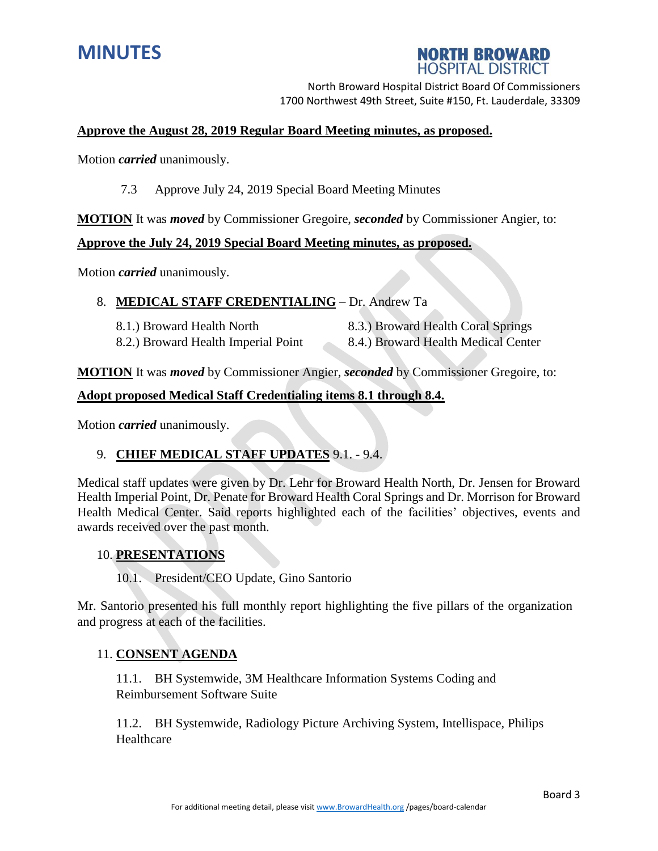

# **NORTH BROWARD HOSPITAL DISTRICT**

North Broward Hospital District Board Of Commissioners 1700 Northwest 49th Street, Suite #150, Ft. Lauderdale, 33309

### **Approve the August 28, 2019 Regular Board Meeting minutes, as proposed.**

Motion *carried* unanimously.

7.3 Approve July 24, 2019 Special Board Meeting Minutes

**MOTION** It was *moved* by Commissioner Gregoire, *seconded* by Commissioner Angier, to:

# **Approve the July 24, 2019 Special Board Meeting minutes, as proposed.**

Motion *carried* unanimously.

### 8. **MEDICAL STAFF CREDENTIALING** – Dr. Andrew Ta

8.1.) Broward Health North 8.3.) Broward Health Coral Springs 8.2.) Broward Health Imperial Point 8.4.) Broward Health Medical Center

**MOTION** It was *moved* by Commissioner Angier, *seconded* by Commissioner Gregoire, to:

### **Adopt proposed Medical Staff Credentialing items 8.1 through 8.4.**

Motion *carried* unanimously.

### 9. **CHIEF MEDICAL STAFF UPDATES** 9.1. - 9.4.

Medical staff updates were given by Dr. Lehr for Broward Health North, Dr. Jensen for Broward Health Imperial Point, Dr. Penate for Broward Health Coral Springs and Dr. Morrison for Broward Health Medical Center. Said reports highlighted each of the facilities' objectives, events and awards received over the past month.

### 10. **PRESENTATIONS**

10.1. President/CEO Update, Gino Santorio

Mr. Santorio presented his full monthly report highlighting the five pillars of the organization and progress at each of the facilities.

### 11. **CONSENT AGENDA**

11.1. BH Systemwide, 3M Healthcare Information Systems Coding and Reimbursement Software Suite

11.2. BH Systemwide, Radiology Picture Archiving System, Intellispace, Philips Healthcare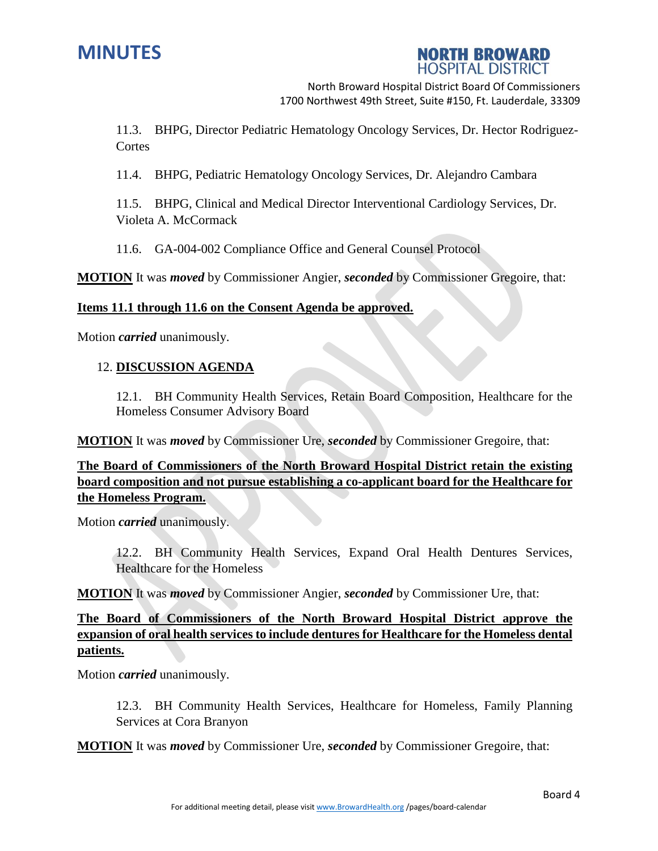



11.3. BHPG, Director Pediatric Hematology Oncology Services, Dr. Hector Rodriguez-**Cortes** 

11.4. BHPG, Pediatric Hematology Oncology Services, Dr. Alejandro Cambara

11.5. BHPG, Clinical and Medical Director Interventional Cardiology Services, Dr. Violeta A. McCormack

11.6. GA-004-002 Compliance Office and General Counsel Protocol

**MOTION** It was *moved* by Commissioner Angier, *seconded* by Commissioner Gregoire, that:

### **Items 11.1 through 11.6 on the Consent Agenda be approved.**

Motion *carried* unanimously.

### 12. **DISCUSSION AGENDA**

12.1. BH Community Health Services, Retain Board Composition, Healthcare for the Homeless Consumer Advisory Board

**MOTION** It was *moved* by Commissioner Ure, *seconded* by Commissioner Gregoire, that:

**The Board of Commissioners of the North Broward Hospital District retain the existing board composition and not pursue establishing a co-applicant board for the Healthcare for the Homeless Program.**

Motion *carried* unanimously.

12.2. BH Community Health Services, Expand Oral Health Dentures Services, Healthcare for the Homeless

**MOTION** It was *moved* by Commissioner Angier, *seconded* by Commissioner Ure, that:

**The Board of Commissioners of the North Broward Hospital District approve the expansion of oral health services to include dentures for Healthcare for the Homeless dental patients.**

Motion *carried* unanimously.

12.3. BH Community Health Services, Healthcare for Homeless, Family Planning Services at Cora Branyon

**MOTION** It was *moved* by Commissioner Ure, *seconded* by Commissioner Gregoire, that: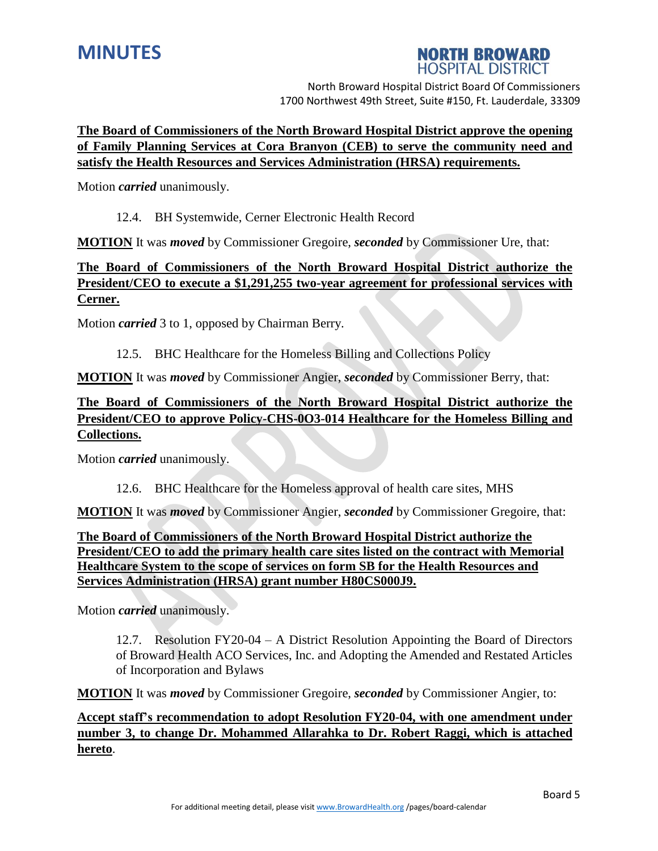

# **NORTH BROWARD HOSPITAL DISTRICT**

North Broward Hospital District Board Of Commissioners 1700 Northwest 49th Street, Suite #150, Ft. Lauderdale, 33309

# **The Board of Commissioners of the North Broward Hospital District approve the opening of Family Planning Services at Cora Branyon (CEB) to serve the community need and satisfy the Health Resources and Services Administration (HRSA) requirements.**

Motion *carried* unanimously.

### 12.4. BH Systemwide, Cerner Electronic Health Record

**MOTION** It was *moved* by Commissioner Gregoire, *seconded* by Commissioner Ure, that:

# **The Board of Commissioners of the North Broward Hospital District authorize the President/CEO to execute a \$1,291,255 two-year agreement for professional services with Cerner.**

Motion *carried* 3 to 1, opposed by Chairman Berry.

12.5. BHC Healthcare for the Homeless Billing and Collections Policy

**MOTION** It was *moved* by Commissioner Angier, *seconded* by Commissioner Berry, that:

# **The Board of Commissioners of the North Broward Hospital District authorize the President/CEO to approve Policy-CHS-0O3-014 Healthcare for the Homeless Billing and Collections.**

Motion *carried* unanimously.

12.6. BHC Healthcare for the Homeless approval of health care sites, MHS

**MOTION** It was *moved* by Commissioner Angier, *seconded* by Commissioner Gregoire, that:

# **The Board of Commissioners of the North Broward Hospital District authorize the President/CEO to add the primary health care sites listed on the contract with Memorial Healthcare System to the scope of services on form SB for the Health Resources and Services Administration (HRSA) grant number H80CS000J9.**

Motion *carried* unanimously.

12.7. Resolution FY20-04 – A District Resolution Appointing the Board of Directors of Broward Health ACO Services, Inc. and Adopting the Amended and Restated Articles of Incorporation and Bylaws

**MOTION** It was *moved* by Commissioner Gregoire, *seconded* by Commissioner Angier, to:

**Accept staff's recommendation to adopt Resolution FY20-04, with one amendment under number 3, to change Dr. Mohammed Allarahka to Dr. Robert Raggi, which is attached hereto**.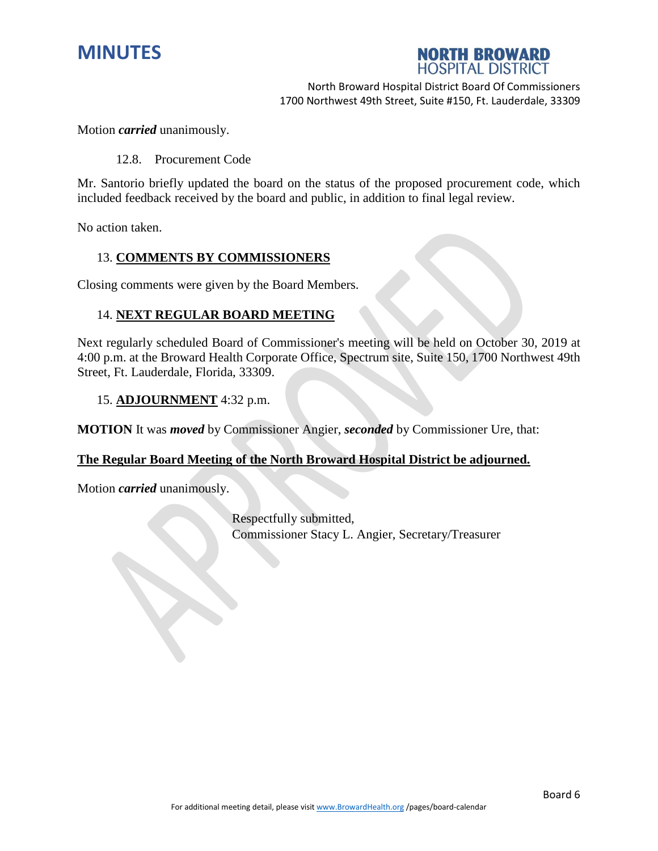



Motion *carried* unanimously.

12.8. Procurement Code

Mr. Santorio briefly updated the board on the status of the proposed procurement code, which included feedback received by the board and public, in addition to final legal review.

No action taken.

### 13. **COMMENTS BY COMMISSIONERS**

Closing comments were given by the Board Members.

#### 14. **NEXT REGULAR BOARD MEETING**

Next regularly scheduled Board of Commissioner's meeting will be held on October 30, 2019 at 4:00 p.m. at the Broward Health Corporate Office, Spectrum site, Suite 150, 1700 Northwest 49th Street, Ft. Lauderdale, Florida, 33309.

#### 15. **ADJOURNMENT** 4:32 p.m.

**MOTION** It was *moved* by Commissioner Angier, *seconded* by Commissioner Ure, that:

#### **The Regular Board Meeting of the North Broward Hospital District be adjourned.**

Motion *carried* unanimously.

Respectfully submitted, Commissioner Stacy L. Angier, Secretary/Treasurer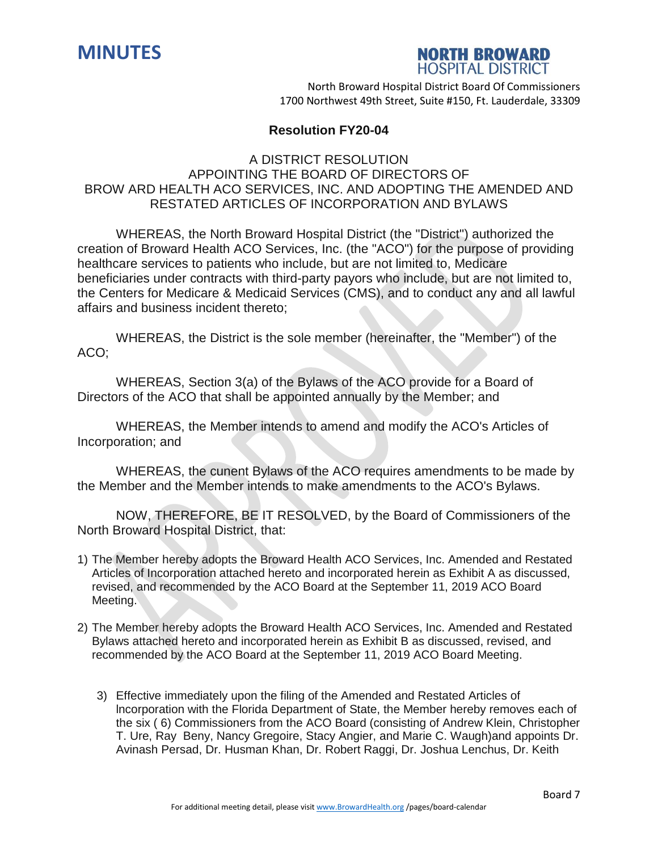



### **Resolution FY20-04**

# A DISTRICT RESOLUTION APPOINTING THE BOARD OF DIRECTORS OF BROW ARD HEALTH ACO SERVICES, INC. AND ADOPTING THE AMENDED AND RESTATED ARTICLES OF INCORPORATION AND BYLAWS

WHEREAS, the North Broward Hospital District (the "District") authorized the creation of Broward Health ACO Services, Inc. (the "ACO") for the purpose of providing healthcare services to patients who include, but are not limited to, Medicare beneficiaries under contracts with third-party payors who include, but are not limited to, the Centers for Medicare & Medicaid Services (CMS), and to conduct any and all lawful affairs and business incident thereto;

WHEREAS, the District is the sole member (hereinafter, the "Member") of the ACO;

WHEREAS, Section 3(a) of the Bylaws of the ACO provide for a Board of Directors of the ACO that shall be appointed annually by the Member; and

WHEREAS, the Member intends to amend and modify the ACO's Articles of Incorporation; and

WHEREAS, the cunent Bylaws of the ACO requires amendments to be made by the Member and the Member intends to make amendments to the ACO's Bylaws.

NOW, THEREFORE, BE IT RESOLVED, by the Board of Commissioners of the North Broward Hospital District, that:

- 1) The Member hereby adopts the Broward Health ACO Services, Inc. Amended and Restated Articles of Incorporation attached hereto and incorporated herein as Exhibit A as discussed, revised, and recommended by the ACO Board at the September 11, 2019 ACO Board Meeting.
- 2) The Member hereby adopts the Broward Health ACO Services, Inc. Amended and Restated Bylaws attached hereto and incorporated herein as Exhibit B as discussed, revised, and recommended by the ACO Board at the September 11, 2019 ACO Board Meeting.
	- 3) Effective immediately upon the filing of the Amended and Restated Articles of lncorporation with the Florida Department of State, the Member hereby removes each of the six ( 6) Commissioners from the ACO Board (consisting of Andrew Klein, Christopher T. Ure, Ray Beny, Nancy Gregoire, Stacy Angier, and Marie C. Waugh)and appoints Dr. Avinash Persad, Dr. Husman Khan, Dr. Robert Raggi, Dr. Joshua Lenchus, Dr. Keith